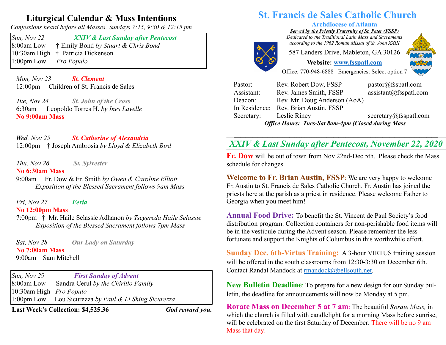# **Liturgical Calendar & Mass Intentions**

*Confessions heard before all Masses. Sundays 7:15, 9:30 & 12:15 pm*

*Sun, Nov 22 XXIV & Last Sunday after Pentecost*  8:00am Low † Emily Bond *by Stuart & Chris Bond* 10:30am High † Patricia Dickenson 1:00pm Low *Pro Populo*

 *Mon, Nov 23 St. Clement* 12:00pm Children of St. Francis de Sales

 *Tue, Nov 24 St. John of the Cross* 6:30am Leopoldo Torres H. *by Ines Lavelle* **No 9:00am Mass** 

 *Wed, Nov 25 St. Catherine of Alexandria*  12:00pm † Joseph Ambrosia *by Lloyd & Elizabeth Bird*

 *Thu, Nov 26 St. Sylvester* 

#### **No 6:30am Mass**

9:00am Fr. Dow & Fr. Smith *by Owen & Caroline Elliott Exposition of the Blessed Sacrament follows 9am Mass*

 *Fri, Nov 27 Feria* **No 12:00pm Mass** 

7:00pm † Mr. Haile Selassie Adhanon *by Tsegereda Haile Selassie Exposition of the Blessed Sacrament follows 7pm Mass*

 *Sat, Nov 28 Our Lady on Saturday* **No 7:00am Mass**  9:00am Sam Mitchell

*Sun, Nov 29 First Sunday of Advent*  8:00am Low Sandra Cerul *by the Chirillo Family* 10:30am High *Pro Populo* 1:00pm Low Lou Sicurezza *by Paul & Li Shing Sicurezza*

**Last Week's Collection: \$4,525.36** *God reward you.*

# **St. Francis de Sales Catholic Church**

### **Archdiocese of Atlanta**

*Served by the Priestly Fraternity of St. Peter (FSSP)*

*Dedicated to the Traditional Latin Mass and Sacraments according to the 1962 Roman Missal of St. John XXIII*

587 Landers Drive, Mableton, GA 30126



**Website: www.fsspatl.com**



Office: 770-948-6888 Emergencies: Select option 7

| <b>Office Hours: Tues-Sat 8am-4pm (Closed during Mass</b> |                                       |                                    |
|-----------------------------------------------------------|---------------------------------------|------------------------------------|
| Secretary:                                                | Leslie Riney                          | secretary@fsspatl.com              |
|                                                           | In Residence: Rev. Brian Austin, FSSP |                                    |
| Deacon:                                                   | Rev. Mr. Doug Anderson (AoA)          |                                    |
| Assistant:                                                | Rev. James Smith, FSSP                | $\text{assignment}(a)$ fsspatl.com |
| Pastor:                                                   | Rev. Robert Dow, FSSP                 | pastor@fsspath.com                 |

#### **\_\_\_\_\_\_\_\_\_\_\_\_\_\_\_\_\_\_\_\_\_\_\_\_\_\_\_\_\_\_\_\_\_\_\_\_\_\_\_\_\_\_\_\_\_\_\_\_\_\_\_\_\_\_\_\_\_\_\_\_\_\_\_\_\_\_\_\_\_\_\_\_\_\_\_\_\_\_\_\_\_\_\_\_\_\_\_\_\_\_\_\_\_\_\_\_\_\_\_\_\_\_\_\_\_\_\_\_\_\_\_\_\_\_\_\_\_\_\_\_\_** *XXIV & Last Sunday after Pentecost, November 22, 2020* **\_\_\_\_\_\_\_\_\_\_\_\_\_\_\_\_\_\_\_\_\_\_\_\_\_\_\_\_\_\_\_\_\_\_\_\_\_\_\_\_\_\_\_\_\_\_\_\_\_\_\_\_\_\_\_ \_\_\_\_\_\_\_\_\_\_\_\_\_\_\_\_\_\_\_\_\_\_\_\_\_\_\_\_\_\_\_\_\_\_\_\_\_\_\_\_\_\_\_\_\_\_\_\_\_\_\_\_\_\_\_ \_\_\_\_\_\_\_\_\_\_\_**

**Fr. Dow** will be out of town from Nov 22nd-Dec 5th. Please check the Mass schedule for changes.

**Welcome to Fr. Brian Austin, FSSP**: We are very happy to welcome Fr. Austin to St. Francis de Sales Catholic Church. Fr. Austin has joined the priests here at the parish as a priest in residence. Please welcome Father to Georgia when you meet him!

**Annual Food Drive:** To benefit the St. Vincent de Paul Society's food distribution program. Collection containers for non-perishable food items will be in the vestibule during the Advent season. Please remember the less fortunate and support the Knights of Columbus in this worthwhile effort.

**Sunday Dec. 6th-Virtus Training:** A 3-hour VIRTUS training session will be offered in the south classrooms from 12:30-3:30 on December 6th. Contact Randal Mandock at rmandock@bellsouth.net.

**New Bulletin Deadline**: To prepare for a new design for our Sunday bulletin, the deadline for announcements will now be Monday at 5 pm.

**Rorate Mass on December 5 at 7 am**: The beautiful *Rorate Mass,* in which the church is filled with candlelight for a morning Mass before sunrise, will be celebrated on the first Saturday of December. There will be no 9 am Mass that day.